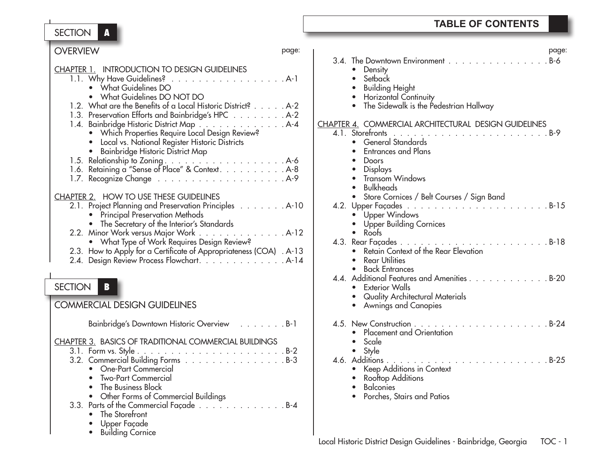SECTION **A**

 • Building Cornice

| <b>OVERVIEW</b><br>page:                                            | page:                                                        |
|---------------------------------------------------------------------|--------------------------------------------------------------|
|                                                                     | 3.4. The Downtown Environment B-6                            |
| <b>CHAPTER 1. INTRODUCTION TO DESIGN GUIDELINES</b>                 | • Density                                                    |
| 1.1. Why Have Guidelines? A-1                                       | Setback                                                      |
| • What Guidelines DO                                                | <b>Building Height</b>                                       |
| • What Guidelines DO NOT DO                                         | Horizontal Continuity                                        |
| 1.2. What are the Benefits of a Local Historic District? A-2        | The Sidewalk is the Pedestrian Hallway                       |
| 1.3. Preservation Efforts and Bainbridge's HPC A-2                  |                                                              |
| 1.4. Bainbridge Historic District Map A-4                           | <b>CHAPTER 4. COMMERCIAL ARCHITECTURAL DESIGN GUIDELINES</b> |
| • Which Properties Require Local Design Review?                     |                                                              |
| • Local vs. National Register Historic Districts                    | • General Standards                                          |
| • Bainbridge Historic District Map                                  | <b>Entrances and Plans</b>                                   |
|                                                                     | Doors                                                        |
| 1.6. Retaining a "Sense of Place" & Context. A-8                    | <b>Displays</b>                                              |
|                                                                     | Transom Windows                                              |
|                                                                     | <b>Bulkheads</b>                                             |
| CHAPTER 2. HOW TO USE THESE GUIDELINES                              | Store Cornices / Belt Courses / Sign Band<br>$\bullet$       |
| 2.1. Project Planning and Preservation Principles A-10              |                                                              |
| • Principal Preservation Methods                                    | • Upper Windows                                              |
| • The Secretary of the Interior's Standards                         | <b>Upper Building Cornices</b>                               |
| 2.2. Minor Work versus Major Work A-12                              | $\bullet$ Roofs                                              |
| • What Type of Work Requires Design Review?                         |                                                              |
| 2.3. How to Apply for a Certificate of Appropriateness (COA) . A-13 | Retain Context of the Rear Elevation                         |
| 2.4. Design Review Process Flowchart. A-14                          | <b>Rear Utilities</b><br>$\bullet$                           |
|                                                                     | <b>Back Entrances</b><br>$\bullet$                           |
|                                                                     | 4.4. Additional Features and Amenities B-20                  |
| SECTION                                                             | • Exterior Walls                                             |
|                                                                     | Quality Architectural Materials<br>$\bullet$                 |
| <b>COMMERCIAL DESIGN GUIDELINES</b>                                 | <b>Awnings and Canopies</b>                                  |
|                                                                     |                                                              |
| Bainbridge's Downtown Historic Overview B-1                         |                                                              |
|                                                                     | Placement and Orientation                                    |
| <b>CHAPTER 3. BASICS OF TRADITIONAL COMMERCIAL BUILDINGS</b>        | Scale                                                        |
|                                                                     | Style<br>$\bullet$                                           |
| 3.2. Commercial Building Forms B-3                                  |                                                              |
| <b>One-Part Commercial</b><br>$\bullet$                             | • Keep Additions in Context                                  |
| <b>Two-Part Commercial</b>                                          | Rooftop Additions                                            |
| The Business Block                                                  | <b>Balconies</b>                                             |
| Other Forms of Commercial Buildings<br>$\bullet$                    | Porches, Stairs and Patios                                   |
| 3.3. Parts of the Commercial Façade B-4                             |                                                              |
| • The Storefront                                                    |                                                              |
| • Upper Facade                                                      |                                                              |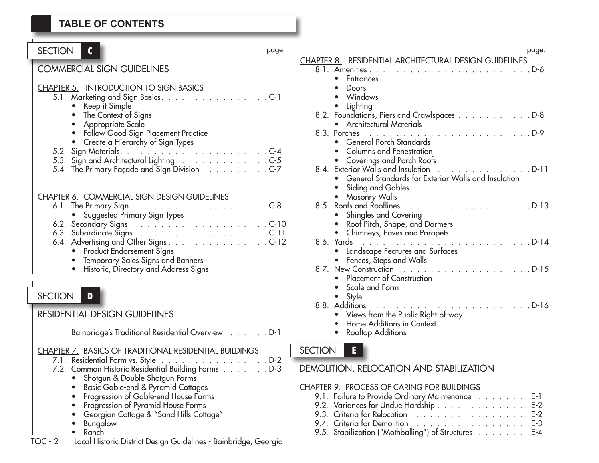| SECTION  <br>$\mathbf c$                                                                                                                                                                                                                                                                                                                                                                        | page: |
|-------------------------------------------------------------------------------------------------------------------------------------------------------------------------------------------------------------------------------------------------------------------------------------------------------------------------------------------------------------------------------------------------|-------|
| <b>COMMERCIAL SIGN GUIDELINES</b>                                                                                                                                                                                                                                                                                                                                                               |       |
| CHAPTER 5. INTRODUCTION TO SIGN BASICS<br>5.1. Marketing and Sign Basics. C-1<br>Keep it Simple<br>The Context of Signs<br>Appropriate Scale                                                                                                                                                                                                                                                    |       |
| Follow Good Sign Placement Practice<br>Create a Hierarchy of Sign Types<br>5.4. The Primary Façade and Sign Division C-7                                                                                                                                                                                                                                                                        |       |
| <b>CHAPTER 6. COMMERCIAL SIGN DESIGN GUIDELINES</b><br>6.4. Advertising and Other Signs. C-12<br><b>Product Endorsement Signs</b><br>Temporary Sales Signs and Banners<br>Historic, Directory and Address Signs                                                                                                                                                                                 |       |
| <b>SECTION</b><br>D                                                                                                                                                                                                                                                                                                                                                                             |       |
| <b>RESIDENTIAL DESIGN GUIDELINES</b>                                                                                                                                                                                                                                                                                                                                                            |       |
| Bainbridge's Traditional Residential Overview D-1                                                                                                                                                                                                                                                                                                                                               |       |
| <b>CHAPTER 7. BASICS OF TRADITIONAL RESIDENTIAL BUILDINGS</b><br>7.1. Residential Form vs. Style<br>. D-2<br>7.2. Common Historic Residential Building Forms D-3<br>• Shotgun & Double Shotgun Forms<br>Basic Gable-end & Pyramid Cottages<br>Progression of Gable-end House Forms<br>Progression of Pyramid House Forms<br>Georgian Cottage & "Sand Hills Cottage"<br><b>Bungalow</b><br>Ranch |       |
| Local Historic District Design Guidelines - Bainbridge, Georgia<br>$TOC - 2$                                                                                                                                                                                                                                                                                                                    |       |

| page:  | page:                                                                                    |
|--------|------------------------------------------------------------------------------------------|
|        | <b>CHAPTER 8. RESIDENTIAL ARCHITECTURAL DESIGN GUIDELINES</b><br>8.1. Amenities<br>. D-6 |
|        | Entrances<br>$\bullet$                                                                   |
|        | Doors                                                                                    |
| $C-1$  | Windows<br>Lighting                                                                      |
|        | 8.2. Foundations, Piers and Crawlspaces D-8                                              |
|        | <b>Architectural Materials</b>                                                           |
|        | 8.3. Porches<br>$\ldots$ D-9<br>General Porch Standards                                  |
| $C-4$  | <b>Columns and Fenestration</b>                                                          |
| $C-5$  | Coverings and Porch Roofs                                                                |
| $C-7$  | 8.4. Exterior Walls and Insulation<br>. D-11                                             |
|        | General Standards for Exterior Walls and Insulation                                      |
|        | Siding and Gables<br>Masonry Walls                                                       |
| $C-8$  | . D-13<br>8.5. Roofs and Rooflines                                                       |
|        | Shingles and Covering                                                                    |
| $C-10$ | Roof Pitch, Shape, and Dormers                                                           |
| $C-11$ | Chimneys, Eaves and Parapets                                                             |
| $C-12$ | Landscape Features and Surfaces                                                          |
|        | Fences, Steps and Walls                                                                  |
|        |                                                                                          |
|        | Placement of Construction                                                                |
|        | Scale and Form                                                                           |
|        | Style                                                                                    |
|        | Views from the Public Right-of-way                                                       |
|        | Home Additions in Context                                                                |
| $D-1$  | Rooftop Additions                                                                        |
|        | <b>SECTION</b><br>E                                                                      |
| $D-2$  |                                                                                          |
| $D-3$  | <b>DEMOLITION, RELOCATION AND STABILIZATION</b>                                          |
|        | <b>CHAPTER 9. PROCESS OF CARING FOR BUILDINGS</b>                                        |

| CHALIEN 7. TNOCEJJ OF CANINO FON DUIEDINGJ           |  |  |  |  |
|------------------------------------------------------|--|--|--|--|
| 9.1. Failure to Provide Ordinary Maintenance E-1     |  |  |  |  |
| 9.2. Variances for Undue Hardship E-2                |  |  |  |  |
|                                                      |  |  |  |  |
|                                                      |  |  |  |  |
| 9.5. Stabilization ("Mothballing") of Structures E-4 |  |  |  |  |
|                                                      |  |  |  |  |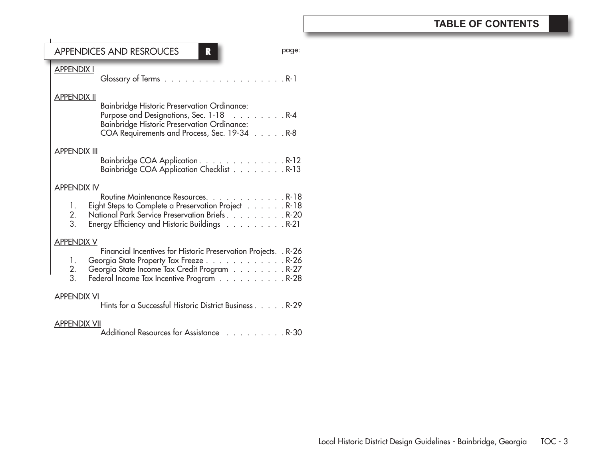### APPENDICES AND RESROUCES **R**

| <b>APPENDIX I</b>   |                                                                                                                                                                                                         |
|---------------------|---------------------------------------------------------------------------------------------------------------------------------------------------------------------------------------------------------|
| <u>APPENDIX II</u>  | <b>Bainbridge Historic Preservation Ordinance:</b><br>Purpose and Designations, Sec. 1-18 R-4<br>Bainbridge Historic Preservation Ordinance:<br>COA Requirements and Process, Sec. 19-34 R-8            |
| <u>APPENDIX III</u> | Bainbridge COA Application. R-12<br>Bainbridge COA Application Checklist R-13                                                                                                                           |
| <b>APPENDIX IV</b>  |                                                                                                                                                                                                         |
| 1.<br>2.<br>3.      | Routine Maintenance Resources. R-18<br>Eight Steps to Complete a Preservation Project R-18<br>National Park Service Preservation Briefs. R-20<br>Energy Efficiency and Historic Buildings $\ldots$ R-21 |
| <b>APPENDIX V</b>   |                                                                                                                                                                                                         |
| 1.<br>2.<br>3.      | Financial Incentives for Historic Preservation Projects. . R-26<br>Georgia State Property Tax Freeze R-26<br>Georgia State Income Tax Credit Program R-27<br>Federal Income Tax Incentive Program R-28  |
| <b>APPENDIX VI</b>  |                                                                                                                                                                                                         |
|                     | Hints for a Successful Historic District Business. R-29                                                                                                                                                 |
| APPENDIX VII        |                                                                                                                                                                                                         |

page: